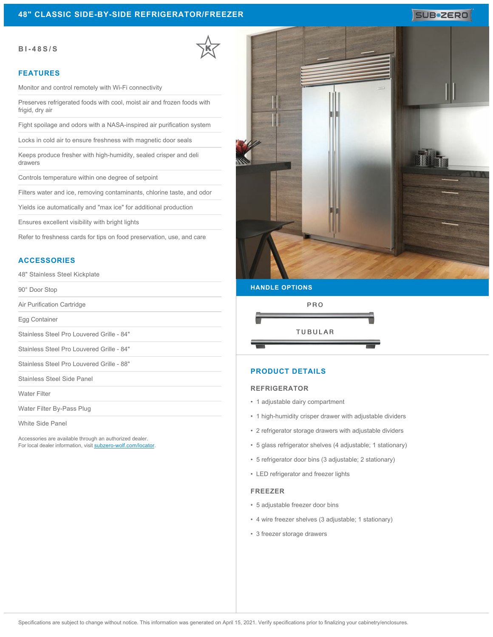#### **BI-48S/S**

#### **FEATURES**

Monitor and control remotely with Wi-Fi connectivity

Preserves refrigerated foods with cool, moist air and frozen foods with frigid, dry air

Fight spoilage and odors with a NASA-inspired air purification system

Locks in cold air to ensure freshness with magnetic door seals

Keeps produce fresher with high-humidity, sealed crisper and deli drawers

Controls temperature within one degree of setpoint

Filters water and ice, removing contaminants, chlorine taste, and odor

Yields ice automatically and "max ice" for additional production

Ensures excellent visibility with bright lights

Refer to freshness cards for tips on food preservation, use, and care

## **ACCESSORIES**

48" Stainless Steel Kickplate

90° Door Stop

Air Purification Cartridge

Egg Container

Stainless Steel Pro Louvered Grille - 84"

Stainless Steel Pro Louvered Grille - 84"

Stainless Steel Pro Louvered Grille - 88"

Stainless Steel Side Panel

Water Filter

Water Filter By-Pass Plug

White Side Panel

Accessories are available through an authorized dealer. For local dealer information, visit [subzero-wolf.com/locator.](http://www.subzero-wolf.com/locator)



SUB<sup>\*</sup>ZERO

# **HANDLE OPTIONS**



## **PRODUCT DETAILS**

#### **REFRIGERATOR**

- 1 adjustable dairy compartment
- 1 high-humidity crisper drawer with adjustable dividers
- 2 refrigerator storage drawers with adjustable dividers
- 5 glass refrigerator shelves (4 adjustable; 1 stationary)
- 5 refrigerator door bins (3 adjustable; 2 stationary)
- LED refrigerator and freezer lights

#### **FREEZER**

- 5 adjustable freezer door bins
- 4 wire freezer shelves (3 adjustable; 1 stationary)
- 3 freezer storage drawers